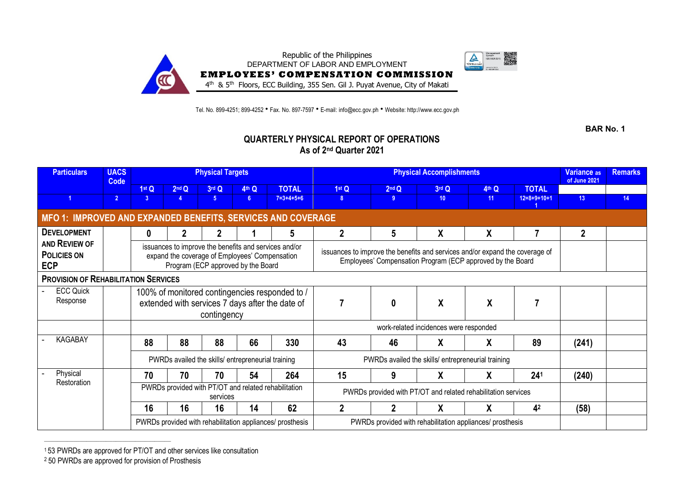

Tel. No. 899-4251; 899-4252 • Fax. No. 897-7597 • E-mail: info@ecc.gov.ph • Website: http://www.ecc.gov.ph

**BAR No. 1**

## **QUARTERLY PHYSICAL REPORT OF OPERATIONS As of 2nd Quarter 2021**

| <b>Particulars</b>                                           | <b>UACS</b><br>Code |              |       | <b>Physical Targets</b>                                                                                                                       |       |                                                           |                                                                                                                                            | Variance as<br>of June 2021 | <b>Remarks</b>  |                  |                 |                 |    |
|--------------------------------------------------------------|---------------------|--------------|-------|-----------------------------------------------------------------------------------------------------------------------------------------------|-------|-----------------------------------------------------------|--------------------------------------------------------------------------------------------------------------------------------------------|-----------------------------|-----------------|------------------|-----------------|-----------------|----|
|                                                              |                     | 1stQ         | 2nd Q | 3rd Q                                                                                                                                         | 4th Q | <b>TOTAL</b>                                              | 1stQ                                                                                                                                       | 2 <sup>nd</sup> Q           | 3rd Q           | 4th Q            | <b>TOTAL</b>    |                 |    |
|                                                              | $\overline{2}$      | 3            | 4     | 5 <sup>1</sup>                                                                                                                                | 6     | $7 = 3 + 4 + 5 + 6$                                       | 8                                                                                                                                          | 9                           | 10 <sup>°</sup> | 11               | $12=8+9+10+1$   | 13 <sup>°</sup> | 14 |
| MFO 1: IMPROVED AND EXPANDED BENEFITS, SERVICES AND COVERAGE |                     |              |       |                                                                                                                                               |       |                                                           |                                                                                                                                            |                             |                 |                  |                 |                 |    |
| <b>DEVELOPMENT</b>                                           |                     | $\mathbf{0}$ |       |                                                                                                                                               |       | 5                                                         | 2                                                                                                                                          | 5                           | X               | χ                |                 | $\overline{2}$  |    |
| AND REVIEW OF<br><b>POLICIES ON</b><br><b>ECP</b>            |                     |              |       | issuances to improve the benefits and services and/or<br>expand the coverage of Employees' Compensation<br>Program (ECP approved by the Board |       |                                                           | issuances to improve the benefits and services and/or expand the coverage of<br>Employees' Compensation Program (ECP approved by the Board |                             |                 |                  |                 |                 |    |
| <b>PROVISION OF REHABILITATION SERVICES</b>                  |                     |              |       |                                                                                                                                               |       |                                                           |                                                                                                                                            |                             |                 |                  |                 |                 |    |
| <b>ECC Quick</b>                                             |                     |              |       |                                                                                                                                               |       | 100% of monitored contingencies responded to /            |                                                                                                                                            |                             |                 |                  |                 |                 |    |
| Response                                                     |                     |              |       | contingency                                                                                                                                   |       | extended with services 7 days after the date of           |                                                                                                                                            | $\mathbf{0}$                | X               | $\boldsymbol{X}$ |                 |                 |    |
|                                                              |                     |              |       |                                                                                                                                               |       |                                                           |                                                                                                                                            |                             |                 |                  |                 |                 |    |
| <b>KAGABAY</b>                                               |                     | 88           | 88    | 88                                                                                                                                            | 66    | 330                                                       | 43                                                                                                                                         | 46                          | X               | χ                | 89              | (241)           |    |
|                                                              |                     |              |       | PWRDs availed the skills/ entrepreneurial training                                                                                            |       |                                                           | PWRDs availed the skills/ entrepreneurial training                                                                                         |                             |                 |                  |                 |                 |    |
| Physical<br>Restoration                                      |                     | 70           | 70    | 70                                                                                                                                            | 54    | 264                                                       | 15                                                                                                                                         | 9                           | X               | χ                | 24 <sup>1</sup> | (240)           |    |
|                                                              |                     |              |       | services                                                                                                                                      |       | PWRDs provided with PT/OT and related rehabilitation      | PWRDs provided with PT/OT and related rehabilitation services                                                                              |                             |                 |                  |                 |                 |    |
|                                                              |                     | 16           | 16    | 16                                                                                                                                            | 14    | 62                                                        |                                                                                                                                            |                             | χ               | χ                | 4 <sup>2</sup>  | (58)            |    |
|                                                              |                     |              |       |                                                                                                                                               |       | PWRDs provided with rehabilitation appliances/ prosthesis | PWRDs provided with rehabilitation appliances/ prosthesis                                                                                  |                             |                 |                  |                 |                 |    |

1 53 PWRDs are approved for PT/OT and other services like consultation

<sup>2</sup> 50 PWRDs are approved for provision of Prosthesis

 $\mathcal{L}_\text{max}$  and  $\mathcal{L}_\text{max}$  and  $\mathcal{L}_\text{max}$  and  $\mathcal{L}_\text{max}$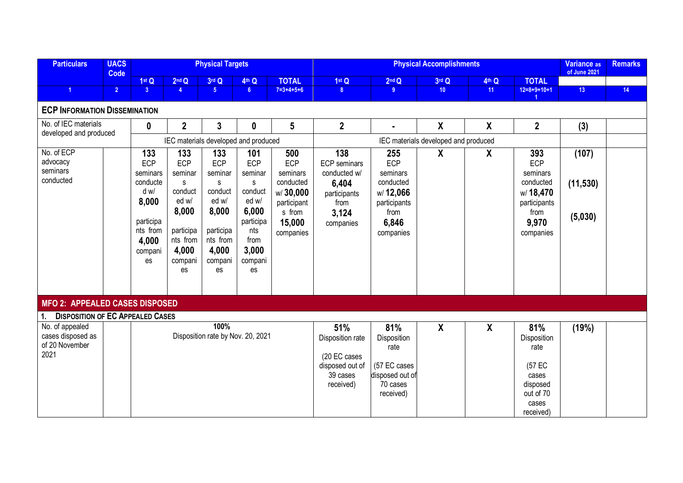| <b>Particulars</b>                                             | <b>UACS</b><br>Code |                                                                                                        |                                                                                                            | <b>Physical Targets</b>                                                                                           |                                                                                                                      |                                                                                                 |                                                                                                   | <b>Variance as</b><br>of June 2021                                                            | <b>Remarks</b>                       |                           |                                                                                               |                               |    |
|----------------------------------------------------------------|---------------------|--------------------------------------------------------------------------------------------------------|------------------------------------------------------------------------------------------------------------|-------------------------------------------------------------------------------------------------------------------|----------------------------------------------------------------------------------------------------------------------|-------------------------------------------------------------------------------------------------|---------------------------------------------------------------------------------------------------|-----------------------------------------------------------------------------------------------|--------------------------------------|---------------------------|-----------------------------------------------------------------------------------------------|-------------------------------|----|
|                                                                |                     | 1st Q                                                                                                  | 2 <sup>nd</sup> Q                                                                                          | 3rd Q                                                                                                             | 4th Q                                                                                                                | <b>TOTAL</b>                                                                                    | 1stQ                                                                                              | 2 <sup>nd</sup> Q                                                                             | 3rd Q                                | 4th Q                     | <b>TOTAL</b>                                                                                  |                               |    |
| $\overline{1}$                                                 | 2 <sup>1</sup>      | 3 <sup>°</sup>                                                                                         | $\overline{4}$                                                                                             | 5 <sup>1</sup>                                                                                                    | 6 <sup>1</sup>                                                                                                       | $7=3+4+5+6$                                                                                     | 8 <sup>1</sup>                                                                                    | 9 <sup>°</sup>                                                                                | 10 <sup>°</sup>                      | 11                        | $12=8+9+10+1$                                                                                 | 13 <sup>°</sup>               | 14 |
| <b>ECP INFORMATION DISSEMINATION</b>                           |                     |                                                                                                        |                                                                                                            |                                                                                                                   |                                                                                                                      |                                                                                                 |                                                                                                   |                                                                                               |                                      |                           |                                                                                               |                               |    |
| No. of IEC materials<br>developed and produced                 |                     | $\mathbf 0$                                                                                            | $\overline{2}$                                                                                             | 3                                                                                                                 | $\boldsymbol{0}$                                                                                                     | 5                                                                                               | $\overline{2}$                                                                                    | $\blacksquare$                                                                                | X                                    | $\boldsymbol{X}$          | $\overline{2}$                                                                                | (3)                           |    |
|                                                                |                     | IEC materials developed and produced                                                                   |                                                                                                            |                                                                                                                   |                                                                                                                      |                                                                                                 |                                                                                                   |                                                                                               | IEC materials developed and produced |                           |                                                                                               |                               |    |
| No. of ECP<br>advocacy<br>seminars<br>conducted                |                     | 133<br>ECP<br>seminars<br>conducte<br>d w/<br>8,000<br>participa<br>nts from<br>4,000<br>compani<br>es | 133<br>ECP<br>seminar<br>s<br>conduct<br>ed w/<br>8,000<br>participa<br>nts from<br>4,000<br>compani<br>es | 133<br><b>ECP</b><br>seminar<br>S<br>conduct<br>ed w/<br>8,000<br>participa<br>nts from<br>4,000<br>compani<br>es | 101<br><b>ECP</b><br>seminar<br>s<br>conduct<br>ed w/<br>6,000<br>participa<br>nts<br>from<br>3,000<br>compani<br>es | 500<br>ECP<br>seminars<br>conducted<br>w/30,000<br>participant<br>s from<br>15,000<br>companies | 138<br><b>ECP</b> seminars<br>conducted w/<br>6,404<br>participants<br>from<br>3,124<br>companies | 255<br>ECP<br>seminars<br>conducted<br>w/12,066<br>participants<br>from<br>6,846<br>companies | X                                    | X                         | 393<br>ECP<br>seminars<br>conducted<br>w/18,470<br>participants<br>from<br>9,970<br>companies | (107)<br>(11, 530)<br>(5,030) |    |
| MFO 2: APPEALED CASES DISPOSED                                 |                     |                                                                                                        |                                                                                                            |                                                                                                                   |                                                                                                                      |                                                                                                 |                                                                                                   |                                                                                               |                                      |                           |                                                                                               |                               |    |
| <b>DISPOSITION OF EC APPEALED CASES</b><br>$\mathbf{1}$        |                     |                                                                                                        |                                                                                                            |                                                                                                                   |                                                                                                                      |                                                                                                 |                                                                                                   |                                                                                               |                                      |                           |                                                                                               |                               |    |
| No. of appealed<br>cases disposed as<br>of 20 November<br>2021 |                     | 100%<br>Disposition rate by Nov. 20, 2021                                                              |                                                                                                            |                                                                                                                   |                                                                                                                      |                                                                                                 | 51%<br>Disposition rate<br>(20 EC cases<br>disposed out of<br>39 cases<br>received)               | 81%<br>Disposition<br>rate<br>(57 EC cases<br>disposed out of<br>70 cases<br>received)        | $\boldsymbol{X}$                     | $\boldsymbol{\mathsf{X}}$ | 81%<br>Disposition<br>rate<br>(57 EC<br>cases<br>disposed<br>out of 70<br>cases<br>received)  | (19%)                         |    |